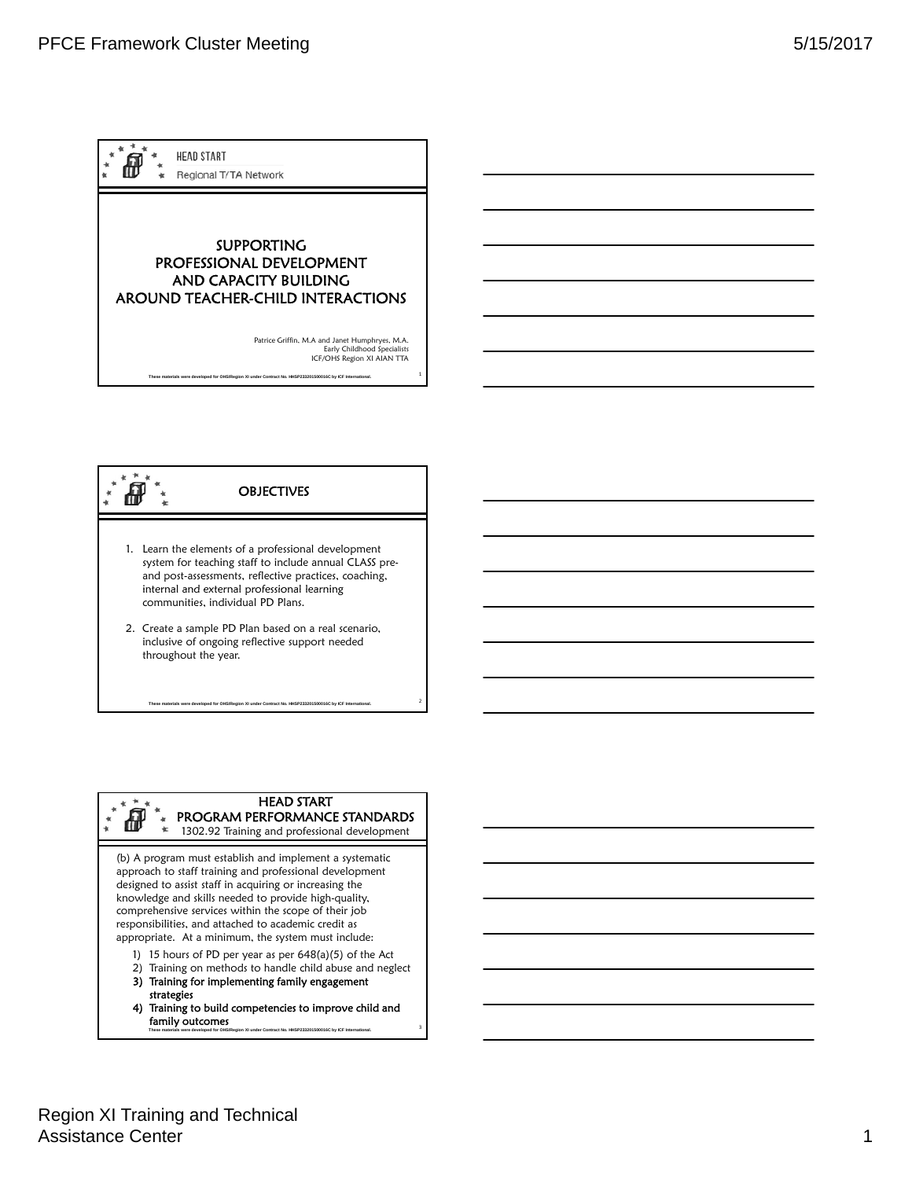



## HEAD START

PROGRAM PERFORMANCE STANDARDS 1302.92 Training and professional development

2 **These materials were developed for OHS/Region XI under Contract No. HHSP233201500016C by ICF International.** 

(b) A program must establish and implement a systematic approach to staff training and professional development designed to assist staff in acquiring or increasing the knowledge and skills needed to provide high-quality, comprehensive services within the scope of their job responsibilities, and attached to academic credit as appropriate. At a minimum, the system must include:

- 1) 15 hours of PD per year as per 648(a)(5) of the Act
- 2) Training on methods to handle child abuse and neglect
- 3) Training for implementing family engagement strategies
- 3 **These materials were developed for OHS/Region XI under Contract No. HHSP233201500016C by ICF International.**  4) Training to build competencies to improve child and family outcomes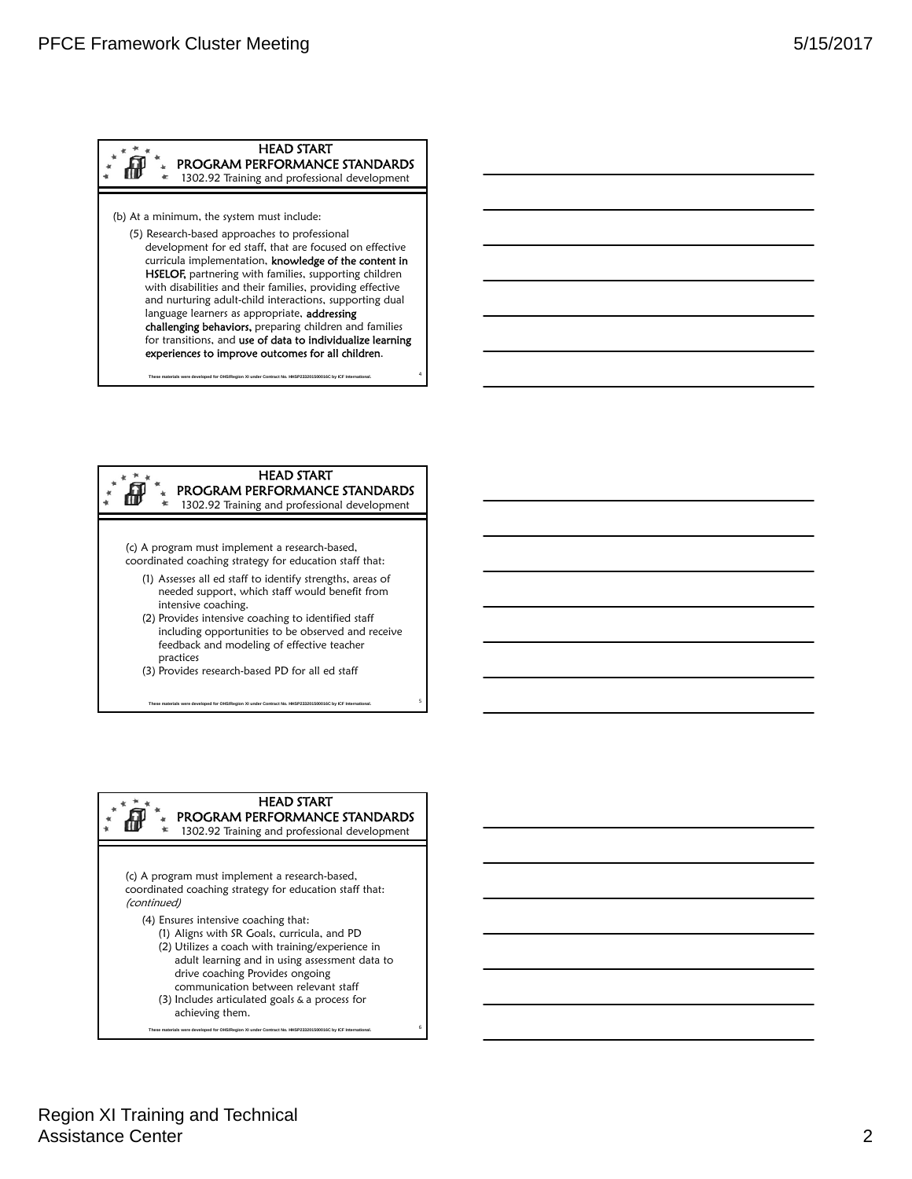### (b) At a minimum, the system must include: (5) Research-based approaches to professional development for ed staff, that are focused on effective curricula implementation, knowledge of the content in HEAD START PROGRAM PERFORMANCE STANDARDS 1302.92 Training and professional development HSELOF, partnering with families, supporting children with disabilities and their families, providing effective and nurturing adult-child interactions, supporting dual language learners as appropriate, addressing challenging behaviors, preparing children and families for transitions, and use of data to individualize learning experiences to improve outcomes for all children.

#### HEAD START Æ PROGRAM PERFORMANCE STANDARDS 1302.92 Training and professional development

4 **These materials were developed for OHS/Region XI under Contract No. HHSP233201500016C by ICF International.** 

- (c) A program must implement a research-based, coordinated coaching strategy for education staff that:
	- (1) Assesses all ed staff to identify strengths, areas of needed support, which staff would benefit from intensive coaching.
	- (2) Provides intensive coaching to identified staff including opportunities to be observed and receive feedback and modeling of effective teacher practices
	- (3) Provides research-based PD for all ed staff
	- 5 **These materials were developed for OHS/Region XI under Contract No. HHSP233201500016C by ICF International.**

## HEAD START

PROGRAM PERFORMANCE STANDARDS 1302.92 Training and professional development

(c) A program must implement a research-based, coordinated coaching strategy for education staff that: (continued)

- (4) Ensures intensive coaching that:
	- (1) Aligns with SR Goals, curricula, and PD
	- (2) Utilizes a coach with training/experience in adult learning and in using assessment data to drive coaching Provides ongoing communication between relevant staff

6 **These materials were developed for OHS/Region XI under Contract No. HHSP233201500016C by ICF International.** 

(3) Includes articulated goals & a process for achieving them.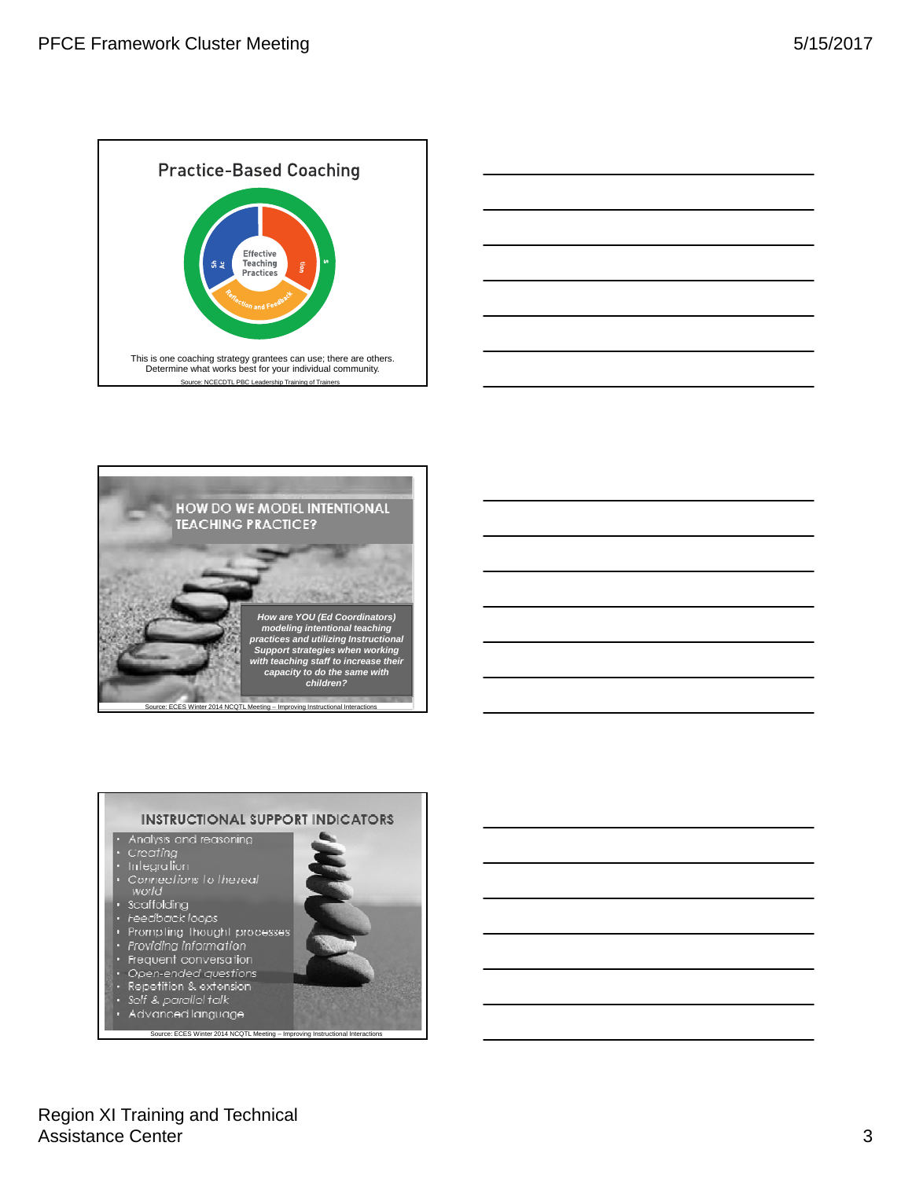







# Region XI Training and Technical Assistance Center 3